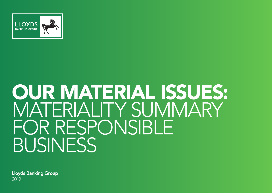

# OUR MATERIAL ISSUES: MATERIALITY SUMMARY FOR RESPONSIBLE BUSINESS

Lloyds Banking Group 2019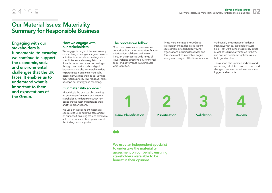# $A$   $A$   $D$   $Q$   $\oplus$

# Our Material Issues: Materiality Summary for Responsible Business

Engaging with our stakeholders is fundamental to ensuring we continue to support the economic, social and environmental challenges that the UK faces. It enables us to understand what is important to them and expectations of the Group.

#### How we engage with our stakeholders

We engage throughout the year in many different ways: during our regular business activities; in face-to-face meetings about specific issues, such as regulation or financial performance; and increasingly through new media, such as digital broadcasts. We also invite stakeholders to participate in an annual materiality assessment, asking them to tell us what they feel is a priority. This feedback helps us shape our strategy and reporting.

#### Our materiality approach

Materiality is the process of consulting an organisation's internal and external stakeholders, to determine which key issues are the most important to them and their organisations.

We used an independent materiality specialist to undertake this assessment on our behalf, ensuring stakeholders were able to be honest in their opinions, and the findings were impartial.

## The process we follow

Good practice materiality assessment comprises four stages: issue identification, prioritisation, validation and review. Through this process a wide range of issues relating directly to environmental, social and governance (ESG) impacts were identified.

These were informed by our Group strategic priorities, dedicated insight sources from established surveying organisations including Ipsos Mori and YouGov, as well as internal colleague surveys and analysis of the financial sector. Additionally a wide range of in depth interviews with key stakeholders were held. They were invited to rank key issues as well as tell us what mattered to them, and how we were tackling those issues, both good and bad.

This year we also updated and improved our scoring calculation process. Issues and changes compared to last year were also logged and recorded.



# 66

We used an independent specialist to undertake the materiality assessment on our behalf, ensuring stakeholders were able to be honest in their opinions.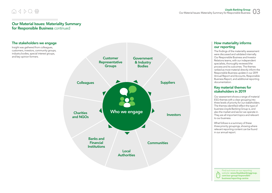# $\bigcirc$

### Our Material Issues: Materiality Summary for Responsible Business continued



#### How materiality informs our reporting

The findings of the materiality assessment were discussed and validated internally. Our Responsible Business and Investor Relations teams, with our independent specialists, thoroughly reviewed the process and its outcomes. The themes ranked as most material directly inform the Responsible Business update in our 2019 Annual Report and Accounts, Responsible Business Report, and additional reporting documentation.

#### Key material themes for stakeholders in 2019

Our assessment shows a range of material ESG themes with a clear grouping into three levels of priority for our stakeholders. The themes identified reflect the type of business Lloyds Banking Group is, and also the market and sector we operate in. They are all important topics and relevant to our business.

What follows is a summary of these three priority groupings, showing where relevant reporting content can be found in our annual report.

> Find out more on our reporting website: www.lloydsbankinggroup. com/our-group/responsiblebusiness/reporting-centre